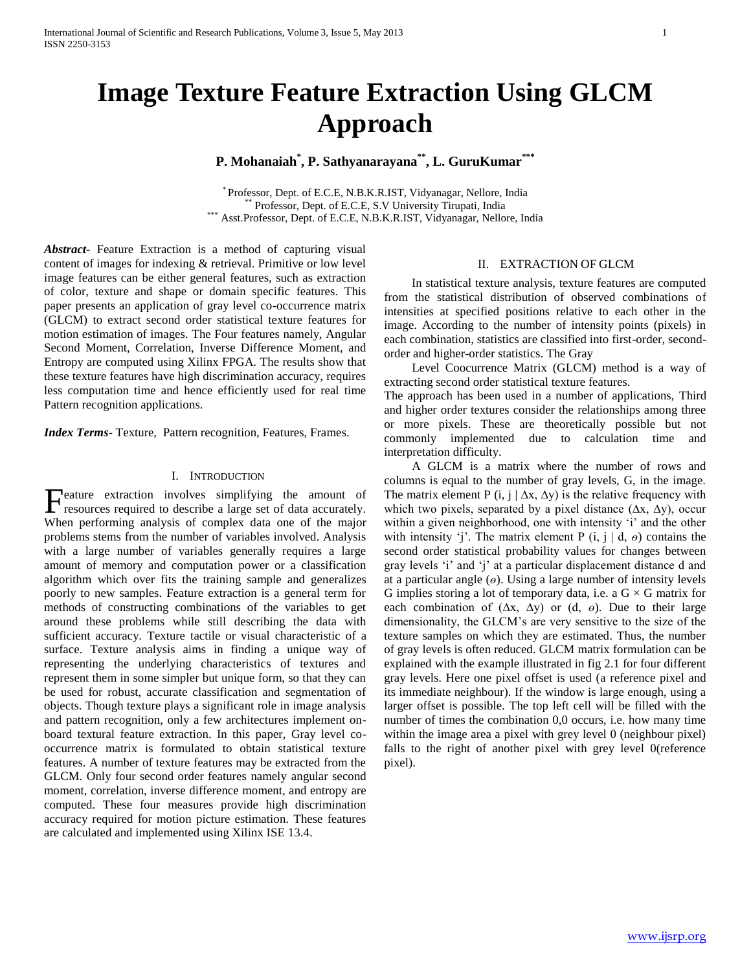# **Image Texture Feature Extraction Using GLCM Approach**

# **P. Mohanaiah\* , P. Sathyanarayana\*\* , L. GuruKumar\*\*\***

\* Professor, Dept. of E.C.E, N.B.K.R.IST, Vidyanagar, Nellore, India Professor, Dept. of E.C.E, S.V University Tirupati, India \*\*\* Asst.Professor, Dept. of E.C.E, N.B.K.R.IST, Vidyanagar, Nellore, India

*Abstract***-** Feature Extraction is a method of capturing visual content of images for indexing & retrieval. Primitive or low level image features can be either general features, such as extraction of color, texture and shape or domain specific features. This paper presents an application of gray level co-occurrence matrix (GLCM) to extract second order statistical texture features for motion estimation of images. The Four features namely, Angular Second Moment, Correlation, Inverse Difference Moment, and Entropy are computed using Xilinx FPGA. The results show that these texture features have high discrimination accuracy, requires less computation time and hence efficiently used for real time Pattern recognition applications.

*Index Terms*- Texture, Pattern recognition, Features, Frames.

## I. INTRODUCTION

eature extraction involves simplifying the amount of Feature extraction involves simplifying the amount of resources required to describe a large set of data accurately. When performing analysis of complex data one of the major problems stems from the number of variables involved. Analysis with a large number of variables generally requires a large amount of memory and computation power or a classification algorithm which over fits the training sample and generalizes poorly to new samples. Feature extraction is a general term for methods of constructing combinations of the variables to get around these problems while still describing the data with sufficient accuracy. Texture tactile or visual characteristic of a surface. Texture analysis aims in finding a unique way of representing the underlying characteristics of textures and represent them in some simpler but unique form, so that they can be used for robust, accurate classification and segmentation of objects. Though texture plays a significant role in image analysis and pattern recognition, only a few architectures implement onboard textural feature extraction. In this paper, Gray level cooccurrence matrix is formulated to obtain statistical texture features. A number of texture features may be extracted from the GLCM. Only four second order features namely angular second moment, correlation, inverse difference moment, and entropy are computed. These four measures provide high discrimination accuracy required for motion picture estimation. These features are calculated and implemented using Xilinx ISE 13.4.

## II. EXTRACTION OF GLCM

 In statistical texture analysis, texture features are computed from the statistical distribution of observed combinations of intensities at specified positions relative to each other in the image. According to the number of intensity points (pixels) in each combination, statistics are classified into first-order, secondorder and higher-order statistics. The Gray

 Level Coocurrence Matrix (GLCM) method is a way of extracting second order statistical texture features.

The approach has been used in a number of applications, Third and higher order textures consider the relationships among three or more pixels. These are theoretically possible but not commonly implemented due to calculation time and interpretation difficulty.

 A GLCM is a matrix where the number of rows and columns is equal to the number of gray levels, G, in the image. The matrix element P (i, j |  $\Delta x$ ,  $\Delta y$ ) is the relative frequency with which two pixels, separated by a pixel distance  $(\Delta x, \Delta y)$ , occur within a given neighborhood, one with intensity 'i' and the other with intensity 'j'. The matrix element P  $(i, j | d, \theta)$  contains the second order statistical probability values for changes between gray levels 'i' and 'j' at a particular displacement distance d and at a particular angle  $(\theta)$ . Using a large number of intensity levels G implies storing a lot of temporary data, i.e. a  $G \times G$  matrix for each combination of (∆x, ∆y) or (d, *ө*). Due to their large dimensionality, the GLCM's are very sensitive to the size of the texture samples on which they are estimated. Thus, the number of gray levels is often reduced. GLCM matrix formulation can be explained with the example illustrated in fig 2.1 for four different gray levels. Here one pixel offset is used (a reference pixel and its immediate neighbour). If the window is large enough, using a larger offset is possible. The top left cell will be filled with the number of times the combination 0,0 occurs, i.e. how many time within the image area a pixel with grey level 0 (neighbour pixel) falls to the right of another pixel with grey level 0(reference pixel).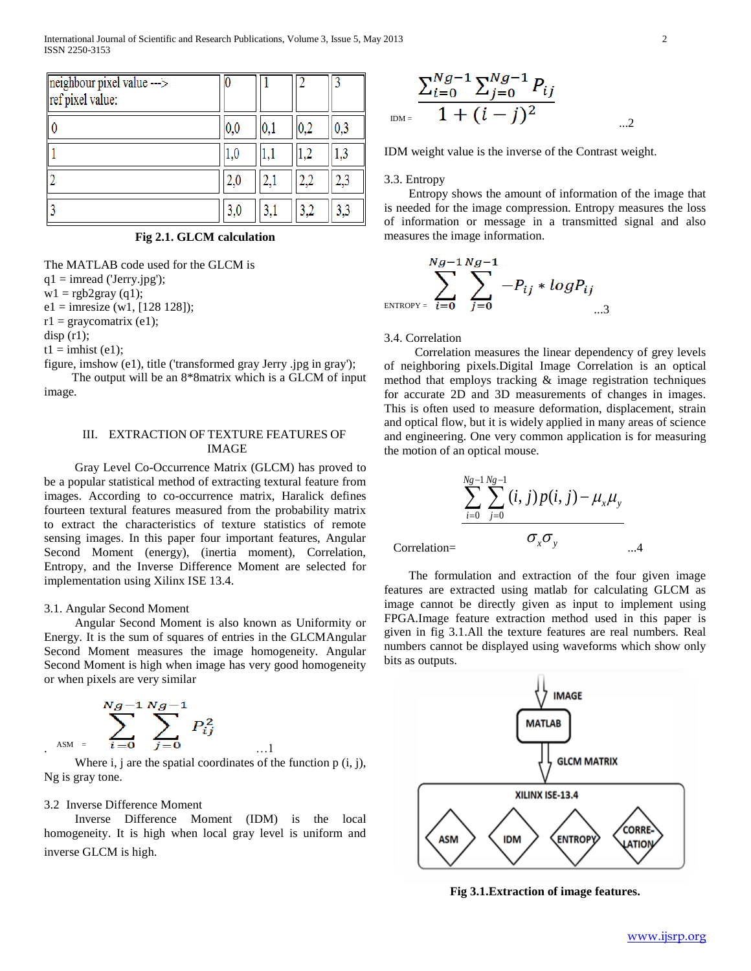| $neighbour pixel value$ --><br>ref pixel value: |              |     |     |
|-------------------------------------------------|--------------|-----|-----|
|                                                 | $0.0\,$      |     | 0,3 |
|                                                 | $_{\rm 1.0}$ |     |     |
|                                                 | 2,0          |     | 2,3 |
|                                                 | 3,0          | 3,1 | 3,3 |

**Fig 2.1. GLCM calculation**

The MATLAB code used for the GLCM is  $q1 = \text{imread}$  ('Jerry.jpg');

 $wl = rgb2gray (q1);$  $e1 = \text{imresize (w1, [128 128])};$ 

 $r1 =$  graycomatrix (e1);

 $disp(r1);$ 

 $t1 =$ imhist (e1);

figure, imshow (e1), title ('transformed gray Jerry .jpg in gray');

 The output will be an 8\*8matrix which is a GLCM of input image.

## III. EXTRACTION OF TEXTURE FEATURES OF IMAGE

 Gray Level Co-Occurrence Matrix (GLCM) has proved to be a popular statistical method of extracting textural feature from images. According to co-occurrence matrix, Haralick defines fourteen textural features measured from the probability matrix to extract the characteristics of texture statistics of remote sensing images. In this paper four important features, Angular Second Moment (energy), (inertia moment), Correlation, Entropy, and the Inverse Difference Moment are selected for implementation using Xilinx ISE 13.4.

#### 3.1. Angular Second Moment

 Angular Second Moment is also known as Uniformity or Energy. It is the sum of squares of entries in the GLCMAngular Second Moment measures the image homogeneity. Angular Second Moment is high when image has very good homogeneity or when pixels are very similar

$$
\sum_{A \text{SM}}^{Ng-1} \sum_{i=0}^{Ng-1} \sum_{j=0}^{Ng-1} P_{ij}^2
$$

Where  $i, j$  are the spatial coordinates of the function  $p(i, j)$ , Ng is gray tone.

## 3.2 Inverse Difference Moment

 Inverse Difference Moment (IDM) is the local homogeneity. It is high when local gray level is uniform and inverse GLCM is high.

$$
\sum_{\text{DM}=\frac{\sum_{i=0}^{Ng-1} \sum_{j=0}^{Ng-1} P_{ij}}{1 + (i-j)^2}
$$

IDM weight value is the inverse of the Contrast weight.

### 3.3. Entropy

 Entropy shows the amount of information of the image that is needed for the image compression. Entropy measures the loss of information or message in a transmitted signal and also measures the image information.

$$
\sum_{\text{ENTROPY} = i=0}^{Ng-1} \sum_{i=0}^{Ng-1} -P_{ij} * logP_{ij}
$$

## 3.4. Correlation

 Correlation measures the linear dependency of grey levels of neighboring pixels.Digital Image Correlation is an optical method that employs tracking & image registration techniques for accurate 2D and 3D measurements of changes in images. This is often used to measure deformation, displacement, strain and optical flow, but it is widely applied in many areas of science and engineering. One very common application is for measuring the motion of an optical mouse.

$$
\frac{\sum_{i=0}^{N_g-1}\sum_{j=0}^{N_g-1}(i,j)p(i,j)-\mu_{x}\mu_{y}}{\sigma_{x}\sigma_{y}}
$$

Correlation=

 The formulation and extraction of the four given image features are extracted using matlab for calculating GLCM as image cannot be directly given as input to implement using FPGA.Image feature extraction method used in this paper is given in fig 3.1.All the texture features are real numbers. Real numbers cannot be displayed using waveforms which show only bits as outputs.



**Fig 3.1.Extraction of image features.**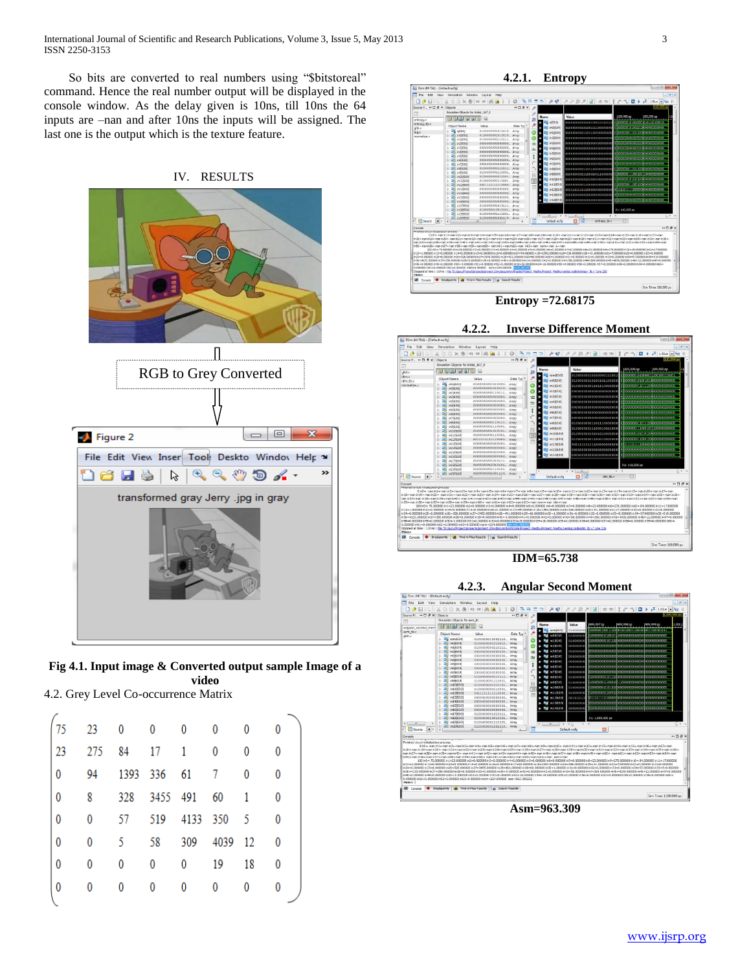International Journal of Scientific and Research Publications, Volume 3, Issue 5, May 2013 3 ISSN 2250-3153

 So bits are converted to real numbers using "\$bitstoreal" command. Hence the real number output will be displayed in the console window. As the delay given is 10ns, till 10ns the 64 inputs are –nan and after 10ns the inputs will be assigned. The last one is the output which is the texture feature.



**Fig 4.1. Input image & Converted output sample Image of a video**

4.2. Grey Level Co-occurrence Matrix

| r<br>13     | 23       | $\overline{\phantom{0}}$ | $\mathbf 0$ | 0               | 0                 | 0            | 0            |
|-------------|----------|--------------------------|-------------|-----------------|-------------------|--------------|--------------|
| 23          | 275      | 84 17 1                  |             |                 | $\mathbf{0}$      | 0            | 0            |
| $\mathbf 0$ |          | 94 1393 336 61 7         |             |                 |                   | $\mathbf{0}$ | 0            |
| 0           | 8        |                          |             | 328 3455 491 60 |                   | $\mathbf{1}$ | $\mathbf{0}$ |
| $\bf{0}$    | $\bf{0}$ |                          |             |                 | 57 519 4133 350 5 |              | 0            |
| 0           | 0        |                          |             |                 | 5 58 309 4039 12  |              | 0            |
| 0           | 0        | 0                        | 0           | 0               | 19                | 18           | 0            |
| 0           | 0        | 0                        | 0           | 0               | 0                 |              | 0            |
|             |          |                          |             |                 |                   |              |              |

**4.2.1. Entropy**



**Entropy =72.68175**



**IDM=65.738**





**Asm=963.309**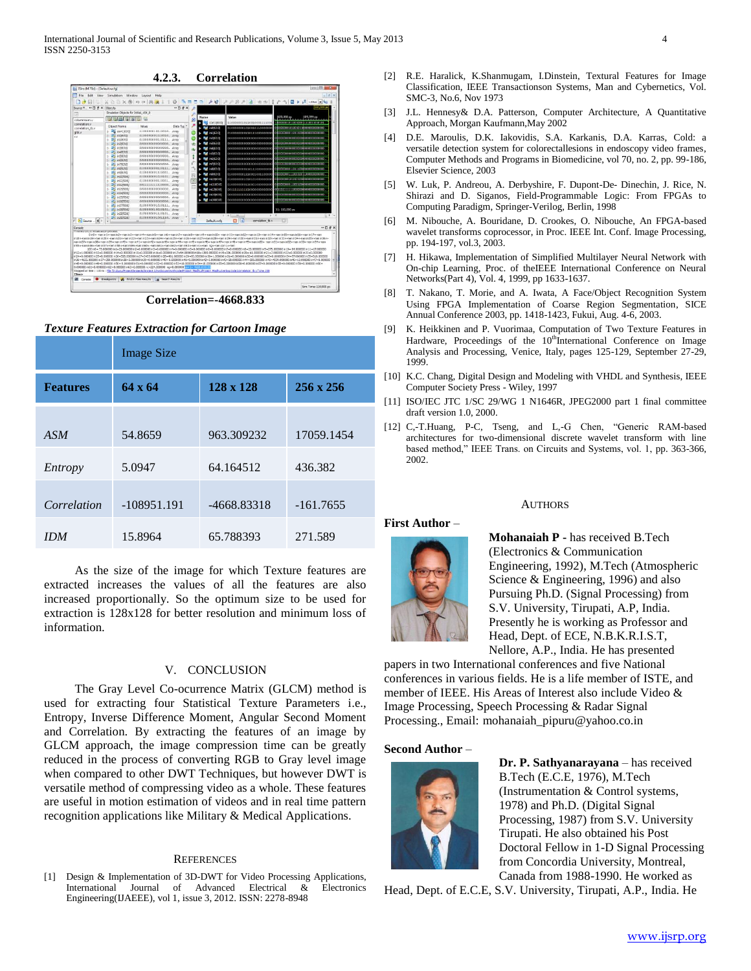

**Correlation=-4668.833**

## *Texture Features Extraction for Cartoon Image*

|                 | <b>Image Size</b> |               |             |  |  |
|-----------------|-------------------|---------------|-------------|--|--|
| <b>Features</b> | $64 \times 64$    | 256 x 256     |             |  |  |
|                 |                   |               |             |  |  |
| ASM             | 54.8659           | 963.309232    | 17059.1454  |  |  |
| Entropy         | 5.0947            | 64.164512     | 436.382     |  |  |
| Correlation     | $-108951.191$     | $-4668.83318$ | $-161.7655$ |  |  |
|                 |                   |               |             |  |  |
| IDM             | 15.8964           | 65.788393     | 271.589     |  |  |

 As the size of the image for which Texture features are extracted increases the values of all the features are also increased proportionally. So the optimum size to be used for extraction is 128x128 for better resolution and minimum loss of information.

## V. CONCLUSION

 The Gray Level Co-ocurrence Matrix (GLCM) method is used for extracting four Statistical Texture Parameters i.e., Entropy, Inverse Difference Moment, Angular Second Moment and Correlation. By extracting the features of an image by GLCM approach, the image compression time can be greatly reduced in the process of converting RGB to Gray level image when compared to other DWT Techniques, but however DWT is versatile method of compressing video as a whole. These features are useful in motion estimation of videos and in real time pattern recognition applications like Military & Medical Applications.

#### **REFERENCES**

[1] Design & Implementation of 3D-DWT for Video Processing Applications, International Journal of Advanced Electrical & Electronics Engineering(IJAEEE), vol 1, issue 3, 2012. ISSN: 2278-8948

- [2] R.E. Haralick, K.Shanmugam, I.Dinstein, Textural Features for Image Classification, IEEE Transactionson Systems, Man and Cybernetics, Vol. SMC-3, No.6, Nov 1973
- [3] J.L. Hennesy& D.A. Patterson, Computer Architecture, A Quantitative Approach, Morgan Kaufmann,May 2002
- [4] D.E. Maroulis, D.K. Iakovidis, S.A. Karkanis, D.A. Karras, Cold: a versatile detection system for colorectallesions in endoscopy video frames, Computer Methods and Programs in Biomedicine, vol 70, no. 2, pp. 99-186, Elsevier Science, 2003
- [5] W. Luk, P. Andreou, A. Derbyshire, F. Dupont-De- Dinechin, J. Rice, N. Shirazi and D. Siganos, Field-Programmable Logic: From FPGAs to Computing Paradigm, Springer-Verilog, Berlin, 1998
- [6] M. Nibouche, A. Bouridane, D. Crookes, O. Nibouche, An FPGA-based wavelet transforms coprocessor, in Proc. IEEE Int. Conf. Image Processing, pp. 194-197, vol.3, 2003.
- [7] H. Hikawa, Implementation of Simplified Multilayer Neural Network with On-chip Learning, Proc. of theIEEE International Conference on Neural Networks(Part 4), Vol. 4, 1999, pp 1633-1637.
- [8] T. Nakano, T. Morie, and A. Iwata, A Face/Object Recognition System Using FPGA Implementation of Coarse Region Segmentation, SICE Annual Conference 2003, pp. 1418-1423, Fukui, Aug. 4-6, 2003.
- [9] K. Heikkinen and P. Vuorimaa, Computation of Two Texture Features in Hardware, Proceedings of the 10<sup>th</sup>International Conference on Image Analysis and Processing, Venice, Italy, pages 125-129, September 27-29, 1999.
- [10] K.C. Chang, Digital Design and Modeling with VHDL and Synthesis, IEEE Computer Society Press - Wiley, 1997
- [11] ISO/IEC JTC 1/SC 29/WG 1 N1646R, JPEG2000 part 1 final committee draft version 1.0, 2000.
- [12] C,-T.Huang, P-C, Tseng, and L,-G Chen, "Generic RAM-based architectures for two-dimensional discrete wavelet transform with line based method," IEEE Trans. on Circuits and Systems, vol. 1, pp. 363-366, 2002.

AUTHORS

## **First Author** –



# **Mohanaiah P -** has received B.Tech (Electronics & Communication Engineering, 1992), M.Tech (Atmospheric Science & Engineering, 1996) and also Pursuing Ph.D. (Signal Processing) from S.V. University, Tirupati, A.P, India. Presently he is working as Professor and Head, Dept. of ECE, N.B.K.R.I.S.T,

Nellore, A.P., India. He has presented papers in two International conferences and five National conferences in various fields. He is a life member of ISTE, and member of IEEE. His Areas of Interest also include Video & Image Processing, Speech Processing & Radar Signal Processing., Email: mohanaiah\_pipuru@yahoo.co.in

#### **Second Author** –



**Dr. P. Sathyanarayana** – has received B.Tech (E.C.E, 1976), M.Tech (Instrumentation & Control systems, 1978) and Ph.D. (Digital Signal Processing, 1987) from S.V. University Tirupati. He also obtained his Post Doctoral Fellow in 1-D Signal Processing from Concordia University, Montreal, Canada from 1988-1990. He worked as

Head, Dept. of E.C.E, S.V. University, Tirupati, A.P., India. He